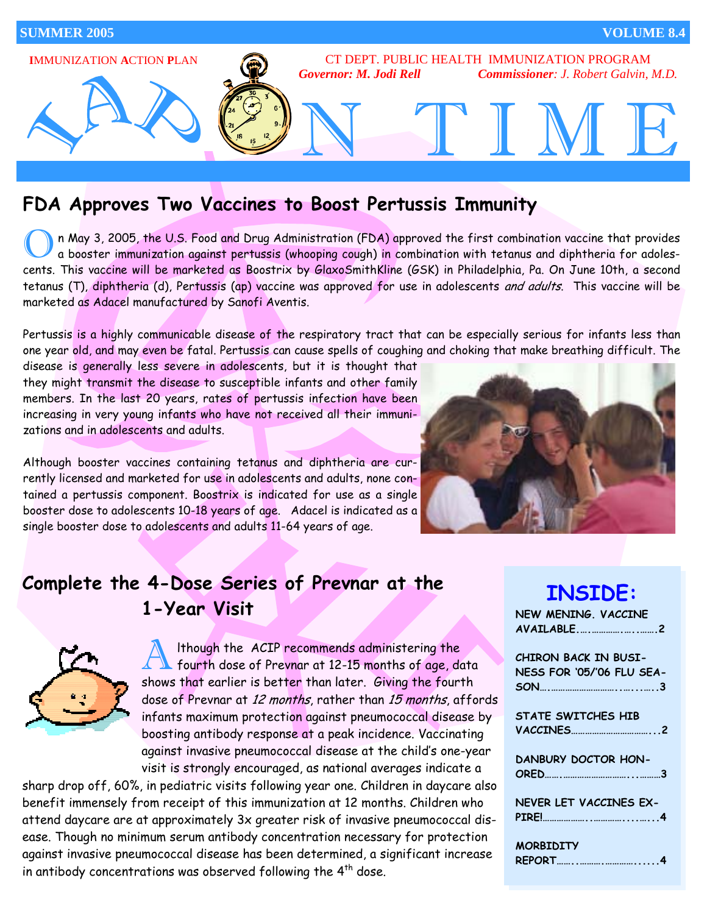

## **FDA Approves Two Vaccines to Boost Pertussis Immunity**

n May 3, 2005, the U.S. Food and Drug Administration (FDA) approved the first combination vaccine that provides<br>a booster immunization against pertussis (whooping cough) in combination with tetanus and diphtheria for adole cents. This vaccine will be marketed as Boostrix by GlaxoSmithKline (GSK) in Philadelphia, Pa. On June 10th, a second tetanus (T), diphtheria (d), Pertussis (ap) vaccine was approved for use in adolescents and adults. This vaccine will be marketed as Adacel manufactured by Sanofi Aventis.

Pertussis is a highly communicable disease of the respiratory tract that can be especially serious for infants less than one year old, and may even be fatal. Pertussis can cause spells of coughing and choking that make breathing difficult. The

disease is generally less severe in adolescents, but it is thought that they might transmit the disease to susceptible infants and other family members. In the last 20 years, rates of pertussis infection have been increasing in very young infants who have not received all their immunizations and in adolescents and adults.

Although booster vaccines containing tetanus and diphtheria are currently licensed and marketed for use in adolescents and adults, none contained a pertussis component. Boostrix is indicated for use as a single booster dose to adolescents 10-18 years of age. Adacel is indicated as a single booster dose to adolescents and adults 11-64 years of age.



## **Complete the 4-Dose Series of Prevnar at the 1-Year Visit**



Although the ACIP recommends administering the<br>fourth dose of Prevnar at 12-15 months of age, data shows that earlier is better than later. Giving the fourth dose of Prevnar at 12 months, rather than 15 months, affords infants maximum protection against pneumococcal disease by boosting antibody response at a peak incidence. Vaccinating against invasive pneumococcal disease at the child's one-year visit is strongly encouraged, as national averages indicate a

sharp drop off, 60%, in pediatric visits following year one. Children in daycare also benefit immensely from receipt of this immunization at 12 months. Children who attend daycare are at approximately 3x greater risk of invasive pneumococcal disease. Though no minimum serum antibody concentration necessary for protection against invasive pneumococcal disease has been determined, a significant increase in antibody concentrations was observed following the  $4<sup>th</sup>$  dose.

| <b>INSIDE:</b>              |
|-----------------------------|
| NEW MENING, VACCINE         |
| AVAILABLE2                  |
| <b>CHIRON BACK IN BUSI-</b> |
|                             |
| NESS FOR '05/'06 FLU SEA-   |
|                             |
|                             |
| <b>STATE SWITCHES HIB</b>   |
|                             |
|                             |
| DANBURY DOCTOR HON-         |
|                             |
|                             |
| NEVER LET VACCINES EX-      |
|                             |
|                             |
|                             |
| <b>MORBIDITY</b>            |

**REPORT……..……….…………......4**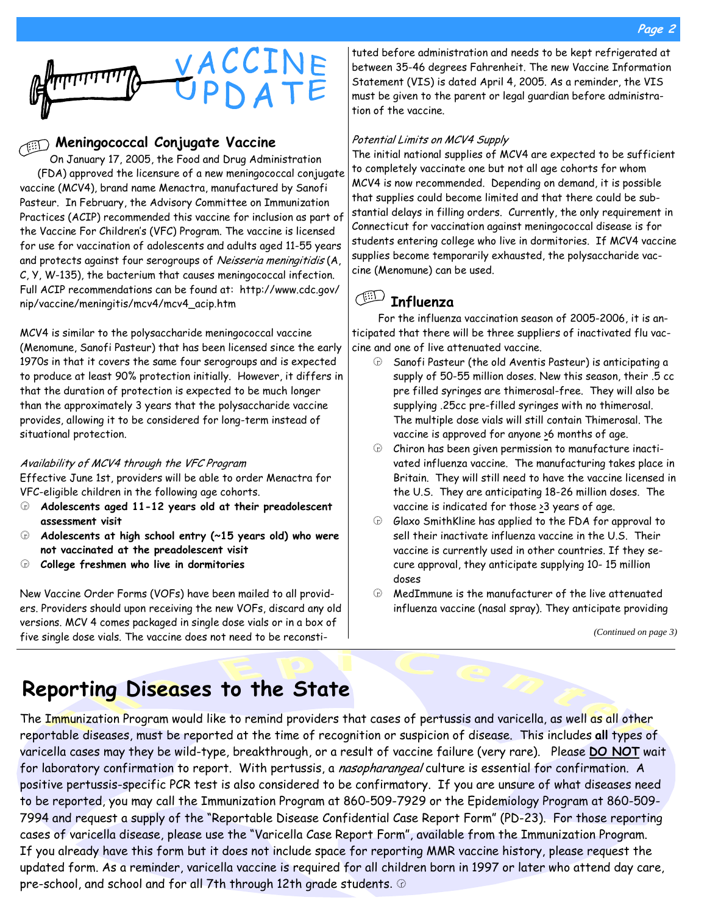

## **Meningococcal Conjugate Vaccine**

On January 17, 2005, the Food and Drug Administration (FDA) approved the licensure of a new meningococcal conjugate vaccine (MCV4), brand name Menactra, manufactured by Sanofi Pasteur. In February, the Advisory Committee on Immunization Practices (ACIP) recommended this vaccine for inclusion as part of the Vaccine For Children's (VFC) Program. The vaccine is licensed for use for vaccination of adolescents and adults aged 11-55 years and protects against four serogroups of Neisseria meningitidis (A, C, Y, W-135), the bacterium that causes meningococcal infection. Full ACIP recommendations can be found at: http://www.cdc.gov/ nip/vaccine/meningitis/mcv4/mcv4\_acip.htm

MCV4 is similar to the polysaccharide meningococcal vaccine (Menomune, Sanofi Pasteur) that has been licensed since the early 1970s in that it covers the same four serogroups and is expected to produce at least 90% protection initially. However, it differs in that the duration of protection is expected to be much longer than the approximately 3 years that the polysaccharide vaccine provides, allowing it to be considered for long-term instead of situational protection.

#### Availability of MCV4 through the VFC Program

Effective June 1st, providers will be able to order Menactra for VFC-eligible children in the following age cohorts.

- k **Adolescents aged 11-12 years old at their preadolescent assessment visit**
- k **Adolescents at high school entry (~15 years old) who were not vaccinated at the preadolescent visit**
- k **College freshmen who live in dormitories**

New Vaccine Order Forms (VOFs) have been mailed to all providers. Providers should upon receiving the new VOFs, discard any old versions. MCV 4 comes packaged in single dose vials or in a box of five single dose vials. The vaccine does not need to be reconsti-

tuted before administration and needs to be kept refrigerated at between 35-46 degrees Fahrenheit. The new Vaccine Information Statement (VIS) is dated April 4, 2005. As a reminder, the VIS must be given to the parent or legal guardian before administration of the vaccine.

#### Potential Limits on MCV4 Supply

The initial national supplies of MCV4 are expected to be sufficient to completely vaccinate one but not all age cohorts for whom MCV4 is now recommended. Depending on demand, it is possible that supplies could become limited and that there could be substantial delays in filling orders. Currently, the only requirement in Connecticut for vaccination against meningococcal disease is for students entering college who live in dormitories. If MCV4 vaccine supplies become temporarily exhausted, the polysaccharide vaccine (Menomune) can be used.

# **Influenza**

For the influenza vaccination season of 2005-2006, it is anticipated that there will be three suppliers of inactivated flu vaccine and one of live attenuated vaccine.

- $\oplus$  Sanofi Pasteur (the old Aventis Pasteur) is anticipating a supply of 50-55 million doses. New this season, their .5 cc pre filled syringes are thimerosal-free. They will also be supplying .25cc pre-filled syringes with no thimerosal. The multiple dose vials will still contain Thimerosal. The vaccine is approved for anyone >6 months of age.
- $\oplus$  Chiron has been given permission to manufacture inactivated influenza vaccine. The manufacturing takes place in Britain. They will still need to have the vaccine licensed in the U.S. They are anticipating 18-26 million doses. The vaccine is indicated for those  $\geq 3$  years of age.
- $\Theta$  Glaxo SmithKline has applied to the FDA for approval to sell their inactivate influenza vaccine in the U.S. Their vaccine is currently used in other countries. If they secure approval, they anticipate supplying 10- 15 million doses
- $\oplus$  MedImmune is the manufacturer of the live attenuated influenza vaccine (nasal spray). They anticipate providing

*(Continued on page 3)* 

# **Reporting Diseases to the State**

The Immunization Program would like to remind providers that cases of pertussis and varicella, as well as all other reportable diseases, must be reported at the time of recognition or suspicion of disease. This includes **all** types of varicella cases may they be wild-type, breakthrough, or a result of vaccine failure (very rare). Please **DO NOT** wait for laboratory confirmation to report. With pertussis, a nasopharangeal culture is essential for confirmation. A positive pertussis-specific PCR test is also considered to be confirmatory. If you are unsure of what diseases need to be reported, you may call the Immunization Program at 860-509-7929 or the Epidemiology Program at 860-509- 7994 and request a supply of the "Reportable Disease Confidential Case Report Form" (PD-23). For those reporting cases of varicella disease, please use the "Varicella Case Report Form", available from the Immunization Program. If you already have this form but it does not include space for reporting MMR vaccine history, please request the updated form. As a reminder, varicella vaccine is required for all children born in 1997 or later who attend day care, pre-school, and school and for all 7th through 12th grade students.  $\circledcirc$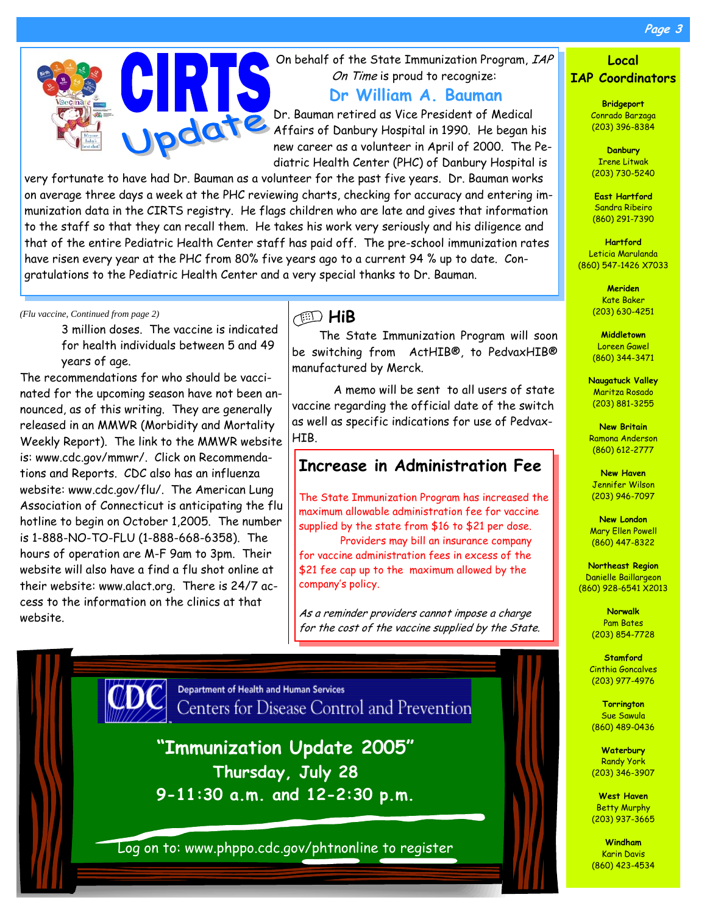**Page 3** 



On behalf of the State Immunization Program, IAP On Time is proud to recognize:

**Dr William A. Bauman** 

Dr. Bauman retired as Vice President of Medical Affairs of Danbury Hospital in 1990. He began his new career as a volunteer in April of 2000. The Pediatric Health Center (PHC) of Danbury Hospital is

very fortunate to have had Dr. Bauman as a volunteer for the past five years. Dr. Bauman works on average three days a week at the PHC reviewing charts, checking for accuracy and entering immunization data in the CIRTS registry. He flags children who are late and gives that information to the staff so that they can recall them. He takes his work very seriously and his diligence and that of the entire Pediatric Health Center staff has paid off. The pre-school immunization rates have risen every year at the PHC from 80% five years ago to a current 94 % up to date. Congratulations to the Pediatric Health Center and a very special thanks to Dr. Bauman.

*(Flu vaccine, Continued from page 2)* 

3 million doses. The vaccine is indicated for health individuals between 5 and 49 years of age.

The recommendations for who should be vaccinated for the upcoming season have not been announced, as of this writing. They are generally released in an MMWR (Morbidity and Mortality Weekly Report). The link to the MMWR website is: www.cdc.gov/mmwr/. Click on Recommendations and Reports. CDC also has an influenza website: www.cdc.gov/flu/. The American Lung Association of Connecticut is anticipating the flu hotline to begin on October 1,2005. The number is 1-888-NO-TO-FLU (1-888-668-6358). The hours of operation are M-F 9am to 3pm. Their website will also have a find a flu shot online at their website: www.alact.org. There is 24/7 access to the information on the clinics at that website.

### **HiB**

The State Immunization Program will soon be switching from ActHIB®, to PedvaxHIB® manufactured by Merck.

 A memo will be sent to all users of state vaccine regarding the official date of the switch as well as specific indications for use of Pedvax-HIB.

### **Increase in Administration Fee**

The State Immunization Program has increased the maximum allowable administration fee for vaccine supplied by the state from \$16 to \$21 per dose.

 Providers may bill an insurance company for vaccine administration fees in excess of the \$21 fee cap up to the maximum allowed by the company's policy.

As a reminder providers cannot impose a charge for the cost of the vaccine supplied by the State.



Department of Health and Human Services Centers for Disease Control and Prevention

**"Immunization Update 2005" Thursday, July 28 9-11:30 a.m. and 12-2:30 p.m.** 

Log on to: www.phppo.cdc.gov/phtnonline to register

#### **Local IAP Coordinators**

**Bridgeport**  Conrado Barzaga (203) 396-8384

**Danbury**  Irene Litwak (203) 730-5240

**East Hartford**  Sandra Ribeiro (860) 291-7390

**Hartford**  Leticia Marulanda (860) 547-1426 X7033

> **Meriden**  Kate Baker (203) 630-4251

**Middletown**  Loreen Gawel (860) 344-3471

**Naugatuck Valley**  Maritza Rosado (203) 881-3255

**New Britain**  Ramona Anderson (860) 612-2777

**New Haven**  Jennifer Wilson (203) 946-7097

**New London**  Mary Ellen Powell (860) 447-8322

**Northeast Region**  Danielle Baillargeon (860) 928-6541 X2013

> **Norwalk**  Pam Bates (203) 854-7728

**Stamford**  Cinthia Goncalves (203) 977-4976

**Torrington**  Sue Sawula (860) 489-0436

**Waterbury**  Randy York (203) 346-3907

**West Haven**  Betty Murphy (203) 937-3665

**Windham**  Karin Davis (860) 423-4534